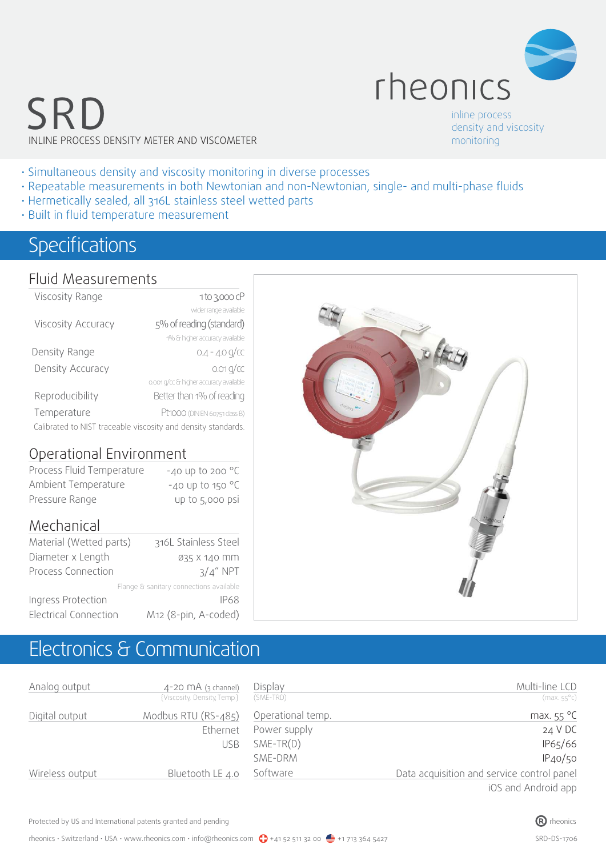

# SRD INLINE PROCESS DENSITY METER AND VISCOMETER

inline process density and viscosity monitoring

- Simultaneous density and viscosity monitoring in diverse processes
- Repeatable measurements in both Newtonian and non-Newtonian, single- and multi-phase fluids
- Hermetically sealed, all 316L stainless steel wetted parts
- Built in fluid temperature measurement

## Specifications

#### Fluid Measurements

| Viscosity Range                                               | 1 to 3,000 cP                          |  |  |  |
|---------------------------------------------------------------|----------------------------------------|--|--|--|
|                                                               | wider range available                  |  |  |  |
| Viscosity Accuracy                                            | 5% of reading (standard)               |  |  |  |
|                                                               | 1% & higher accuracy available         |  |  |  |
| Density Range                                                 | $0.4 - 4.0$ g/cc                       |  |  |  |
| Density Accuracy                                              | $0.01 q$ / <sub>CC</sub>               |  |  |  |
|                                                               | 0.001 g/cc & higher accuracy available |  |  |  |
| Reproducibility                                               | Better than 1% of reading              |  |  |  |
| Temperature                                                   | Pt1000 (DIN EN 60751 class B)          |  |  |  |
| Calibrated to NIST traceable viscosity and density standards. |                                        |  |  |  |

#### Operational Environment

| Process Fluid Temperature | $-40$ up to 200 $^{\circ}$ C |
|---------------------------|------------------------------|
| Ambient Temperature       | $-40$ up to 150 $^{\circ}$ C |
| Pressure Range            | up to 5,000 psi              |

### Mechanical

| Material (Wetted parts)      | 316L Stainless Steel                    |
|------------------------------|-----------------------------------------|
| Diameter x Length            | 035 X 140 MM                            |
| Process Connection           | $3/4''$ NPT                             |
|                              | Flange & sanitary connections available |
| Ingress Protection           | <b>IP68</b>                             |
| <b>Electrical Connection</b> | M12 (8-pin, A-coded)                    |

# Electronics & Communication

| Analog output   | $4-20$ MA (3 channel)<br>{Viscosity, Density, Temp.} | Display<br>(SME-TRD) | Multi-line LCD<br>$(max.55^{\circ}c)$      |
|-----------------|------------------------------------------------------|----------------------|--------------------------------------------|
| Digital output  | Modbus RTU (RS-485)                                  | Operational temp.    | max. $55^{\circ}$ C                        |
|                 | Ethernet                                             | Power supply         | 24 V DC                                    |
|                 | USB                                                  | $SME-TR(D)$          | IP65/66                                    |
|                 |                                                      | SME-DRM              | IP40/50                                    |
| Wireless output | Bluetooth LE 4.0                                     | Software             | Data acquisition and service control panel |
|                 |                                                      |                      | and hinghald has 201                       |

iOS and Android app

Protected by US and International patents granted and pending  $\bullet$  rheonics rheonics rheonics rheonics rheonics

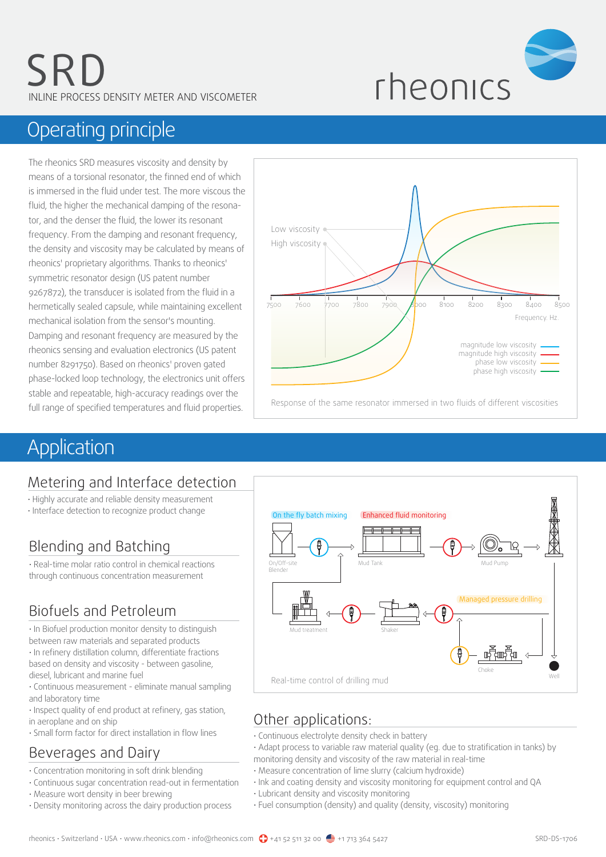

# Operating principle

The rheonics SRD measures viscosity and density by means of a torsional resonator, the finned end of which is immersed in the fluid under test. The more viscous the fluid, the higher the mechanical damping of the resonator, and the denser the fluid, the lower its resonant frequency. From the damping and resonant frequency, the density and viscosity may be calculated by means of rheonics' proprietary algorithms. Thanks to rheonics' symmetric resonator design (US patent number 9267872), the transducer is isolated from the fluid in a hermetically sealed capsule, while maintaining excellent mechanical isolation from the sensor's mounting. Damping and resonant frequency are measured by the rheonics sensing and evaluation electronics (US patent number 8291750). Based on rheonics' proven gated phase-locked loop technology, the electronics unit offers stable and repeatable, high-accuracy readings over the full range of specified temperatures and fluid properties.



# **Application**

## Metering and Interface detection

- Highly accurate and reliable density measurement
- Interface detection to recognize product change

## Blending and Batching

• Real-time molar ratio control in chemical reactions through continuous concentration measurement

## Biofuels and Petroleum

• In Biofuel production monitor density to distinguish between raw materials and separated products • In refinery distillation column, differentiate fractions

based on density and viscosity - between gasoline, diesel, lubricant and marine fuel

• Continuous measurement - eliminate manual sampling and laboratory time

• Inspect quality of end product at refinery, gas station, in aeroplane and on ship

• Small form factor for direct installation in flow lines

## Beverages and Dairy

- Concentration monitoring in soft drink blending
- Continuous sugar concentration read-out in fermentation
- Measure wort density in beer brewing
- Density monitoring across the dairy production process



## Other applications:

- Continuous electrolyte density check in battery
- Adapt process to variable raw material quality (eg. due to stratification in tanks) by
- monitoring density and viscosity of the raw material in real-time
- Measure concentration of lime slurry (calcium hydroxide)
- Ink and coating density and viscosity monitoring for equipment control and QA
- Lubricant density and viscosity monitoring
- Fuel consumption (density) and quality (density, viscosity) monitoring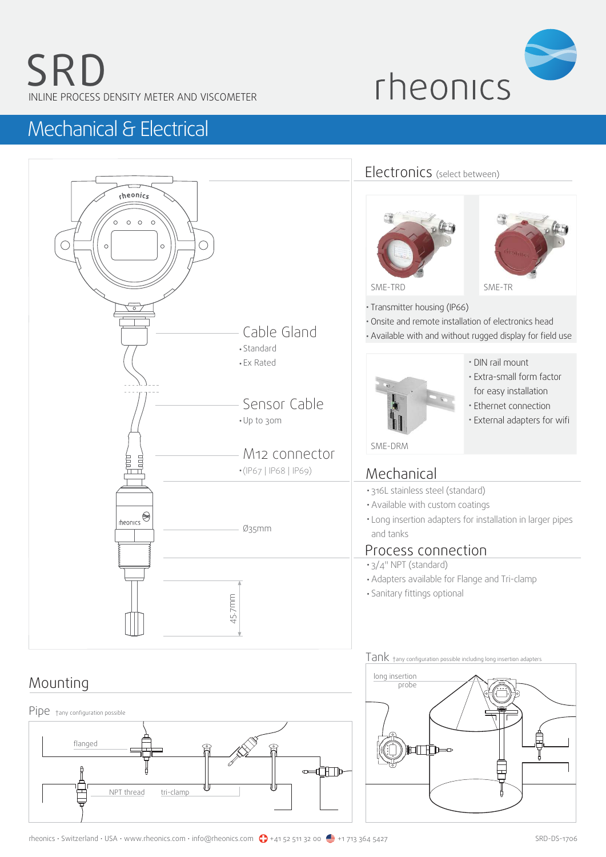

# Mechanical & Electrical



## Mounting



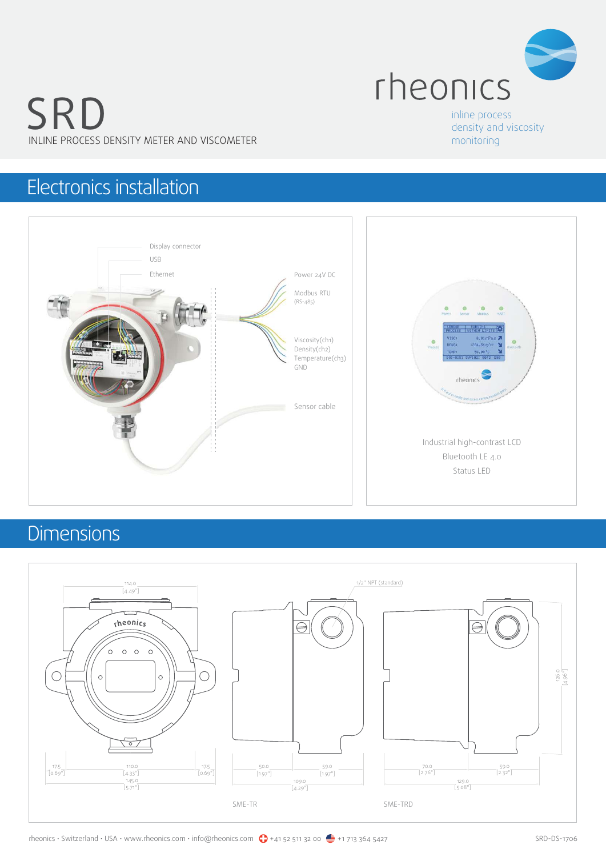

# SRD INLINE PROCESS DENSITY METER AND VISCOMETER

inline process density and viscosity monitoring

# Electronics installation



# **Dimensions**

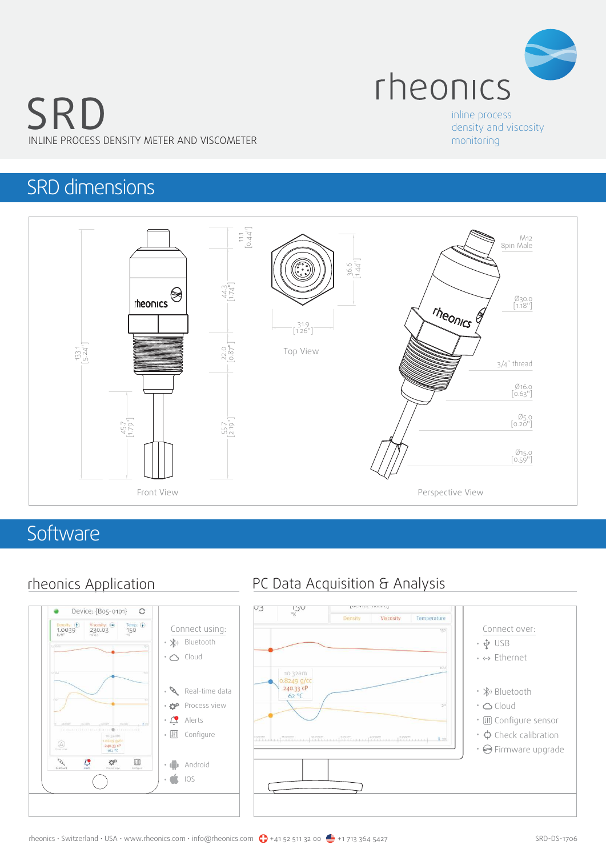

# SRD INLINE PROCESS DENSITY METER AND VISCOMETER

#### inline process density and viscosity monitoring

## SRD dimensions



## **Software**



## rheonics Application PC Data Acquisition & Analysis